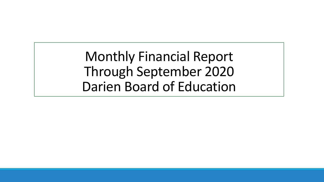Monthly Financial Report Through September 2020 Darien Board of Education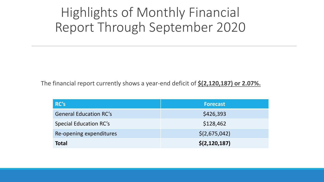# Highlights of Monthly Financial Report Through September 2020

The financial report currently shows a year-end deficit of **\$(2,120,187) or 2.07%.**

| RC's                          | <b>Forecast</b> |
|-------------------------------|-----------------|
| <b>General Education RC's</b> | \$426,393       |
| <b>Special Education RC's</b> | \$128,462       |
| Re-opening expenditures       | \$(2,675,042)   |
| <b>Total</b>                  | \$(2, 120, 187) |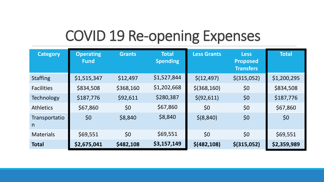# COVID 19 Re-opening Expenses

| <b>Category</b>    | <b>Operating</b><br><b>Fund</b> | <b>Grants</b> | <b>Total</b><br><b>Spending</b> | <b>Less Grants</b> | <b>Less</b><br><b>Proposed</b><br><b>Transfers</b> | <b>Total</b> |
|--------------------|---------------------------------|---------------|---------------------------------|--------------------|----------------------------------------------------|--------------|
| <b>Staffing</b>    | \$1,515,347                     | \$12,497      | \$1,527,844                     | \$(12, 497)        | $$$ (315,052)                                      | \$1,200,295  |
| <b>Facilities</b>  | \$834,508                       | \$368,160     | \$1,202,668                     | $$$ (368,160)      | \$0                                                | \$834,508    |
| <b>Technology</b>  | \$187,776                       | \$92,611      | \$280,387                       | \$ (92, 611)       | \$0                                                | \$187,776    |
| <b>Athletics</b>   | \$67,860                        | \$0           | \$67,860                        | \$0                | \$0                                                | \$67,860     |
| Transportatio<br>n | \$0                             | \$8,840       | \$8,840                         | \$ (8, 840)        | \$0                                                | \$0          |
| <b>Materials</b>   | \$69,551                        | \$0           | \$69,551                        | \$0                | \$0                                                | \$69,551     |
| <b>Total</b>       | \$2,675,041                     | \$482,108     | \$3,157,149                     | $$$ (482,108)      | $$$ (315,052)                                      | \$2,359,989  |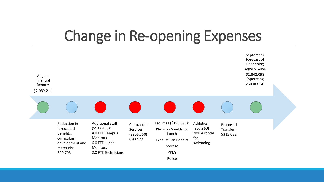# Change in Re-opening Expenses

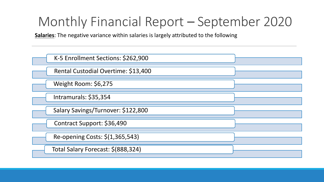**Salaries**: The negative variance within salaries is largely attributed to the following

| K-5 Enrollment Sections: \$262,900  |  |
|-------------------------------------|--|
| Rental Custodial Overtime: \$13,400 |  |
| Weight Room: \$6,275                |  |
| Intramurals: \$35,354               |  |
| Salary Savings/Turnover: \$122,800  |  |
| Contract Support: \$36,490          |  |
| Re-opening Costs: \$(1,365,543)     |  |
| Total Salary Forecast: \$(888,324)  |  |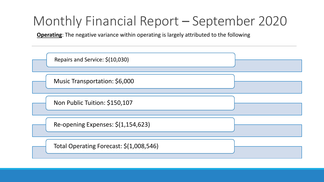**Operating**: The negative variance within operating is largely attributed to the following

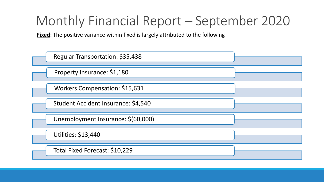**Fixed**: The positive variance within fixed is largely attributed to the following

| Regular Transportation: \$35,438    |  |
|-------------------------------------|--|
| Property Insurance: \$1,180         |  |
| Workers Compensation: \$15,631      |  |
| Student Accident Insurance: \$4,540 |  |
| Unemployment Insurance: \$(60,000)  |  |
| <b>Utilities: \$13,440</b>          |  |
| Total Fixed Forecast: \$10,229      |  |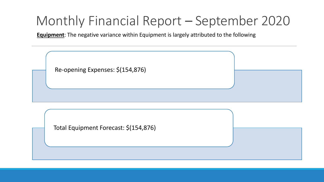**Equipment**: The negative variance within Equipment is largely attributed to the following

| Re-opening Expenses: \$(154,876) |  |
|----------------------------------|--|
|                                  |  |

Total Equipment Forecast: \$(154,876)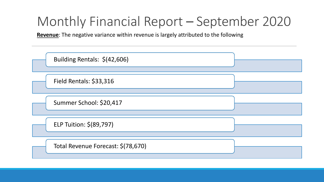**Revenue**: The negative variance within revenue is largely attributed to the following

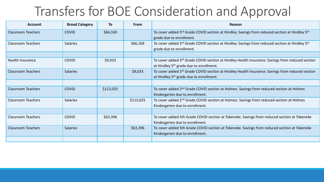#### Transfers for BOE Consideration and Approval

| <b>Account</b>            | <b>Broad Category</b> | To        | From      | Reason                                                                                                       |
|---------------------------|-----------------------|-----------|-----------|--------------------------------------------------------------------------------------------------------------|
| <b>Classroom Teachers</b> | <b>COVID</b>          | \$66,169  |           | To cover added 3rd Grade COVID section at Hindley. Savings from reduced section at Hindley 5th               |
|                           |                       |           |           | grade due to enrollment.                                                                                     |
| <b>Classroom Teachers</b> | <b>Salaries</b>       |           | \$66,169  | To cover added 3rd Grade COVID section at Hindley. Savings from reduced section at Hindley 5th               |
|                           |                       |           |           | grade due to enrollment.                                                                                     |
|                           |                       |           |           |                                                                                                              |
| <b>Health Insurance</b>   | <b>COVID</b>          | \$9,033   |           | To cover added 3 <sup>rd</sup> Grade COVID section at Hindley Health Insurance. Savings from reduced section |
|                           |                       |           |           | at Hindley 5 <sup>th</sup> grade due to enrollment.                                                          |
| <b>Classroom Teachers</b> | <b>Salaries</b>       |           | \$9,033   | To cover added 3 <sup>rd</sup> Grade COVID section at Hindley Health Insurance. Savings from reduced section |
|                           |                       |           |           | at Hindley 5 <sup>th</sup> grade due to enrollment.                                                          |
|                           |                       |           |           |                                                                                                              |
| <b>Classroom Teachers</b> | <b>COVID</b>          | \$113,025 |           | To cover added 2 <sup>nd</sup> Grade COVID section at Holmes. Savings from reduced section at Holmes         |
|                           |                       |           |           | Kindergarten due to enrollment.                                                                              |
| <b>Classroom Teachers</b> | <b>Salaries</b>       |           | \$113,025 | To cover added 2 <sup>nd</sup> Grade COVID section at Holmes. Savings from reduced section at Holmes         |
|                           |                       |           |           | Kindergarten due to enrollment.                                                                              |
|                           |                       |           |           |                                                                                                              |
| <b>Classroom Teachers</b> | <b>COVID</b>          | \$63,396  |           | To cover added 5th Grade COVID section at Tokeneke. Savings from reduced section at Tokeneke                 |
|                           |                       |           |           | Kindergarten due to enrollment.                                                                              |
| <b>Classroom Teachers</b> | <b>Salaries</b>       |           | \$63,396  | To cover added 5th Grade COVID section at Tokeneke. Savings from reduced section at Tokeneke                 |
|                           |                       |           |           | Kindergarten due to enrollment.                                                                              |
|                           |                       |           |           |                                                                                                              |